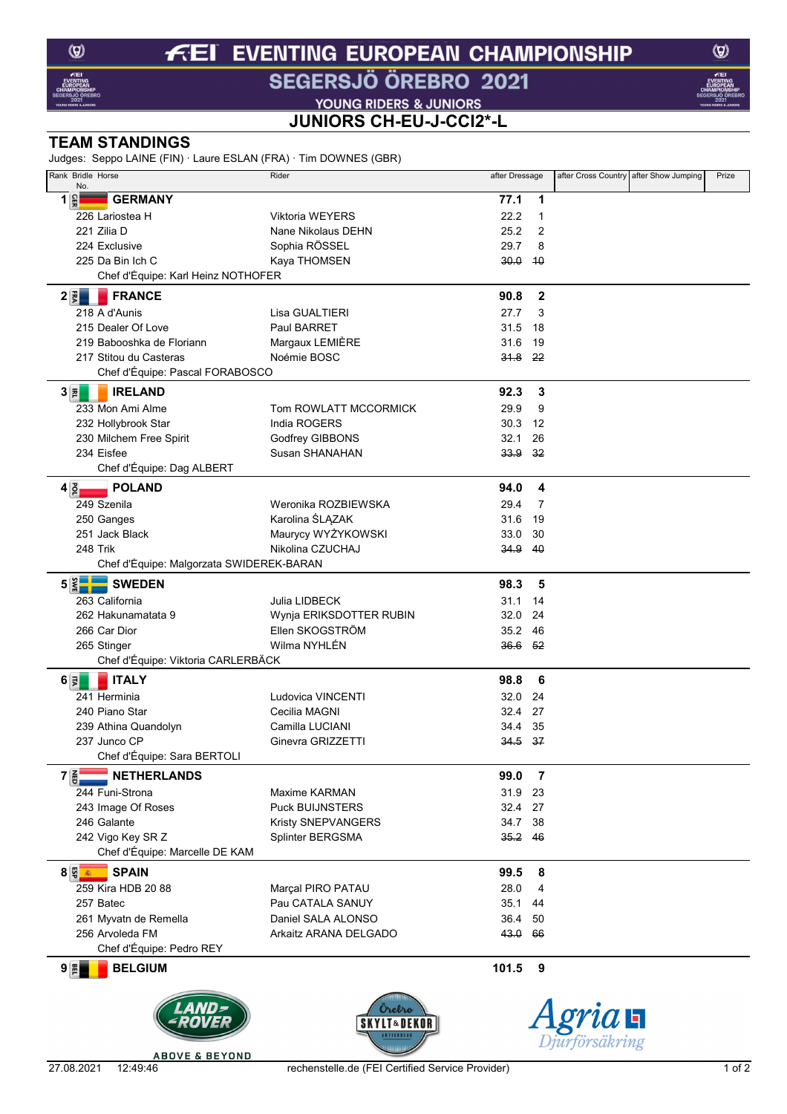### **EVENTING EUROPEAN CHAMPIONSHIP** FEI

# SEGERSJÖ ÖREBRO 2021

YOUNG RIDERS & JUNIORS

## JUNIORS CH-EU-J-CCI2\*-L

## **TEAM STANDINGS**

ludges: Senno LAINE (FIN) · Laure FSLAN (FRA) · Tim DOWNES (GBR)

| $\frac{1}{2}$ ougges. Seppo LAINE (FIN) Laure LOLAN (FIA) TIMEDONNALS (ODIV) |                         |                 |                |                                        |       |
|------------------------------------------------------------------------------|-------------------------|-----------------|----------------|----------------------------------------|-------|
| Rank Bridle Horse<br>No.                                                     | Rider                   | after Dressage  |                | after Cross Country after Show Jumping | Prize |
| $1\frac{6}{5}$<br><b>GERMANY</b>                                             |                         | 77.1            | 1              |                                        |       |
| 226 Lariostea H                                                              | <b>Viktoria WEYERS</b>  | 22.2            | 1              |                                        |       |
| 221 Zilia D                                                                  | Nane Nikolaus DEHN      | 25.2            | $\overline{2}$ |                                        |       |
| 224 Exclusive                                                                | Sophia RÖSSEL           | 29.7            | 8              |                                        |       |
| 225 Da Bin Ich C                                                             |                         |                 | 40             |                                        |       |
|                                                                              | Kaya THOMSEN            | 30.0            |                |                                        |       |
| Chef d'Équipe: Karl Heinz NOTHOFER                                           |                         |                 |                |                                        |       |
| $2 \vec{z} $<br><b>FRANCE</b>                                                |                         | 90.8            | $\mathbf{2}$   |                                        |       |
| 218 A d'Aunis                                                                | Lisa GUALTIERI          | 27.7            | 3              |                                        |       |
| 215 Dealer Of Love                                                           | Paul BARRET             | 31.5            | 18             |                                        |       |
| 219 Babooshka de Floriann                                                    | Margaux LEMIÈRE         | 31.6            | 19             |                                        |       |
| 217 Stitou du Casteras                                                       | Noémie BOSC             | <del>31.8</del> | -22            |                                        |       |
| Chef d'Équipe: Pascal FORABOSCO                                              |                         |                 |                |                                        |       |
| $3 \bar{z} $<br><b>IRELAND</b>                                               |                         | 92.3            | 3              |                                        |       |
| 233 Mon Ami Alme                                                             | Tom ROWLATT MCCORMICK   | 29.9            | 9              |                                        |       |
|                                                                              | India ROGERS            | 30.3            | 12             |                                        |       |
| 232 Hollybrook Star                                                          |                         | 32.1            | 26             |                                        |       |
| 230 Milchem Free Spirit                                                      | Godfrey GIBBONS         |                 |                |                                        |       |
| 234 Eisfee                                                                   | Susan SHANAHAN          | 33.9            | 32             |                                        |       |
| Chef d'Équipe: Dag ALBERT                                                    |                         |                 |                |                                        |       |
| $4\frac{3}{2}$<br><b>POLAND</b>                                              |                         | 94.0            | 4              |                                        |       |
| 249 Szenila                                                                  | Weronika ROZBIEWSKA     | 29.4            | 7              |                                        |       |
| 250 Ganges                                                                   | Karolina ŚLĄZAK         | 31.6            | 19             |                                        |       |
| 251 Jack Black                                                               | Maurycy WYŻYKOWSKI      | 33.0            | 30             |                                        |       |
| 248 Trik                                                                     | Nikolina CZUCHAJ        | 34.9            | 40             |                                        |       |
| Chef d'Équipe: Malgorzata SWIDEREK-BARAN                                     |                         |                 |                |                                        |       |
| $5 \times -$<br><b>SWEDEN</b>                                                |                         | 98.3            | 5              |                                        |       |
|                                                                              |                         |                 |                |                                        |       |
| 263 California                                                               | Julia LIDBECK           | 31.1            | 14             |                                        |       |
| 262 Hakunamatata 9                                                           | Wynja ERIKSDOTTER RUBIN | 32.0            | 24             |                                        |       |
| 266 Car Dior                                                                 | Ellen SKOGSTRÖM         | 35.2            | 46             |                                        |       |
| 265 Stinger                                                                  | Wilma NYHLÉN            | $36.6$ $52$     |                |                                        |       |
| Chef d'Équipe: Viktoria CARLERBÄCK                                           |                         |                 |                |                                        |       |
| <b>ITALY</b><br>$6\vert\vec{z}\vert$                                         |                         | 98.8            | 6              |                                        |       |
| 241 Herminia                                                                 | Ludovica VINCENTI       | 32.0            | 24             |                                        |       |
| 240 Piano Star                                                               | Cecilia MAGNI           | 32.4            | 27             |                                        |       |
| 239 Athina Quandolyn                                                         | Camilla LUCIANI         | 34.4            | 35             |                                        |       |
| 237 Junco CP                                                                 | Ginevra GRIZZETTI       | 34.5            | 37             |                                        |       |
| Chef d'Équipe: Sara BERTOLI                                                  |                         |                 |                |                                        |       |
| $7\frac{2}{9}$<br><b>NETHERLANDS</b>                                         |                         | 99.0            | $\overline{7}$ |                                        |       |
|                                                                              |                         |                 |                |                                        |       |
| 244 Funi-Strona                                                              | Maxime KARMAN           | 31.9            | 23             |                                        |       |
| 243 Image Of Roses                                                           | <b>Puck BUIJNSTERS</b>  | 32.4            | 27             |                                        |       |
| 246 Galante                                                                  | Kristy SNEPVANGERS      | 34.7            | 38             |                                        |       |
| 242 Vigo Key SR Z                                                            | Splinter BERGSMA        | 35.2            | 46             |                                        |       |
| Chef d'Équipe: Marcelle DE KAM                                               |                         |                 |                |                                        |       |
| $8\frac{m}{3}$<br><b>SPAIN</b>                                               |                         | 99.5            | 8              |                                        |       |
| 259 Kira HDB 20 88                                                           | Marçal PIRO PATAU       | 28.0            | 4              |                                        |       |
| 257 Batec                                                                    | Pau CATALA SANUY        | 35.1            | 44             |                                        |       |
| 261 Myvatn de Remella                                                        | Daniel SALA ALONSO      | 36.4            | 50             |                                        |       |
| 256 Arvoleda FM                                                              | Arkaitz ARANA DELGADO   | 43.0            | 66             |                                        |       |
| Chef d'Équipe: Pedro REY                                                     |                         |                 |                |                                        |       |
| $9 \frac{m}{2}$<br><b>BELGIUM</b>                                            |                         | 101.5           | 9              |                                        |       |
|                                                                              |                         |                 |                |                                        |       |
|                                                                              |                         |                 |                |                                        |       |
|                                                                              | Orebro                  |                 |                |                                        |       |
|                                                                              | <b>SKYLT&amp;DEI</b>    |                 |                | ria <b>H</b>                           |       |
|                                                                              | <b>AKTIEBOLAI</b>       |                 |                | jurförsäkring                          |       |



 $1$  of  $2$ 

 $\circledcirc$